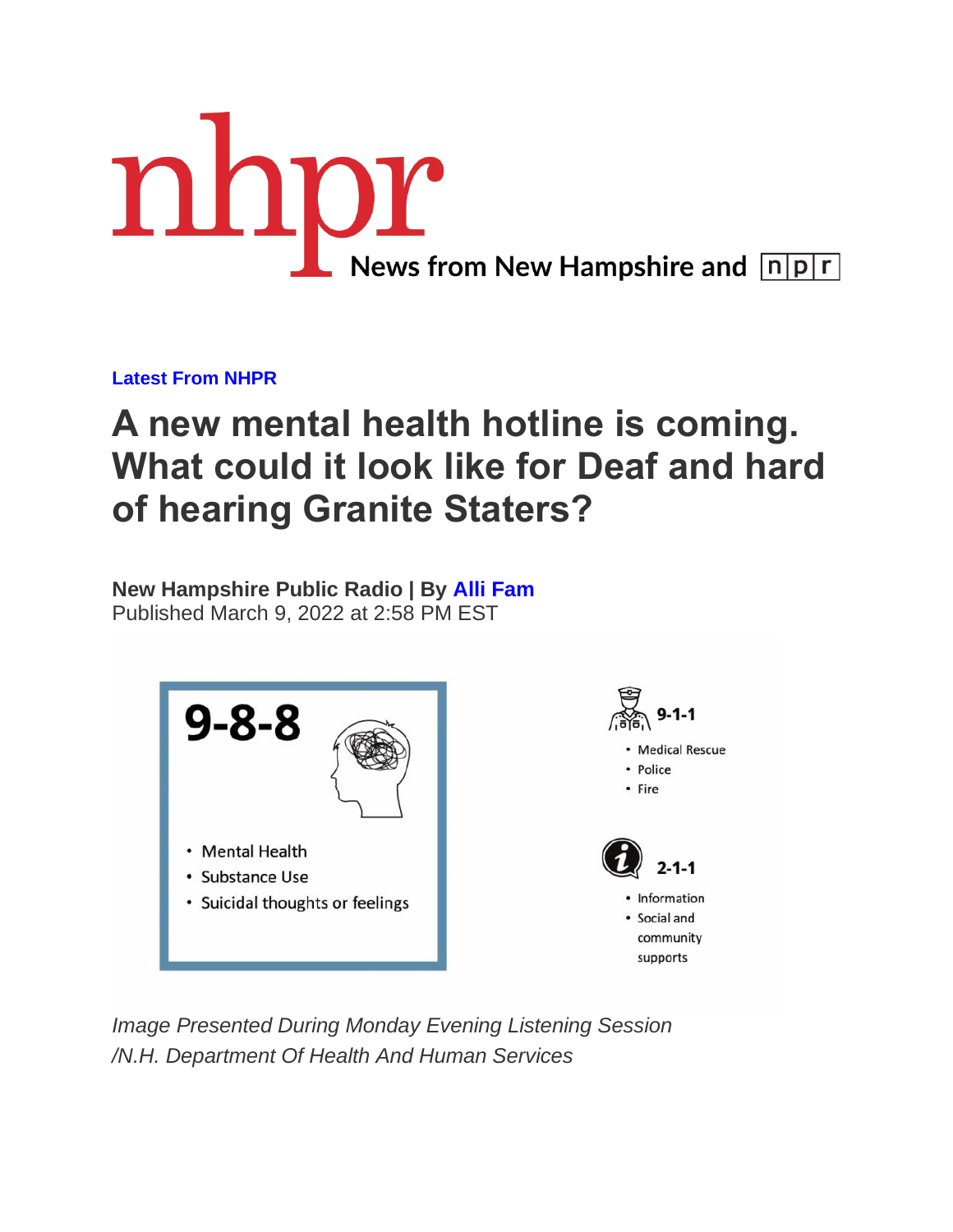

**[Latest From NHPR](https://www.nhpr.org/latest-from-nhpr)**

## **A new mental health hotline is coming. What could it look like for Deaf and hard of hearing Granite Staters?**

**New Hampshire Public Radio | By [Alli Fam](https://www.nhpr.org/people/alli-fam)** Published March 9, 2022 at 2:58 PM EST



*Image Presented During Monday Evening Listening Session /N.H. Department Of Health And Human Services*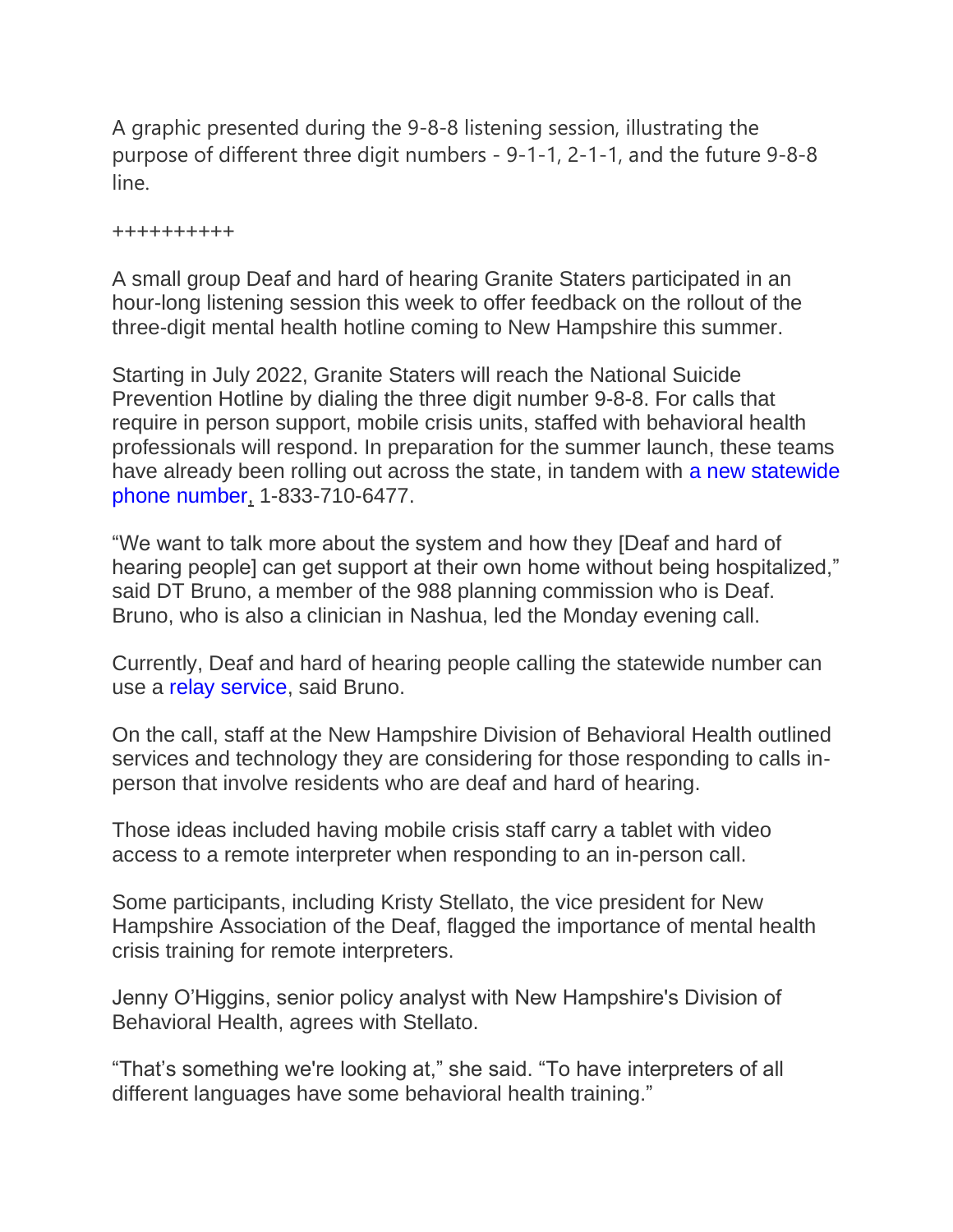A graphic presented during the 9-8-8 listening session, illustrating the purpose of different three digit numbers - 9-1-1, 2-1-1, and the future 9-8-8 line.

++++++++++

A small group Deaf and hard of hearing Granite Staters participated in an hour-long listening session this week to offer feedback on the rollout of the three-digit mental health hotline coming to New Hampshire this summer.

Starting in July 2022, Granite Staters will reach the National Suicide Prevention Hotline by dialing the three digit number 9-8-8. For calls that require in person support, mobile crisis units, staffed with behavioral health professionals will respond. In preparation for the summer launch, these teams have already been rolling out across the state, in tandem with a new statewide [phone number,](https://www.nhpr.org/nh-news/2021-12-30/statewide-mobile-units-for-mental-health-crises-launch-in-2-days-and-the-hiring-continues) 1-833-710-6477.

"We want to talk more about the system and how they [Deaf and hard of hearing people] can get support at their own home without being hospitalized," said DT Bruno, a member of the 988 planning commission who is Deaf. Bruno, who is also a clinician in Nashua, led the Monday evening call.

Currently, Deaf and hard of hearing people calling the statewide number can use a [relay service,](https://www.nad.org/resources/technology/telephone-and-relay-services/relay-services/) said Bruno.

On the call, staff at the New Hampshire Division of Behavioral Health outlined services and technology they are considering for those responding to calls inperson that involve residents who are deaf and hard of hearing.

Those ideas included having mobile crisis staff carry a tablet with video access to a remote interpreter when responding to an in-person call.

Some participants, including Kristy Stellato, the vice president for New Hampshire Association of the Deaf, flagged the importance of mental health crisis training for remote interpreters.

Jenny O'Higgins, senior policy analyst with New Hampshire's Division of Behavioral Health, agrees with Stellato.

"That's something we're looking at," she said. "To have interpreters of all different languages have some behavioral health training."